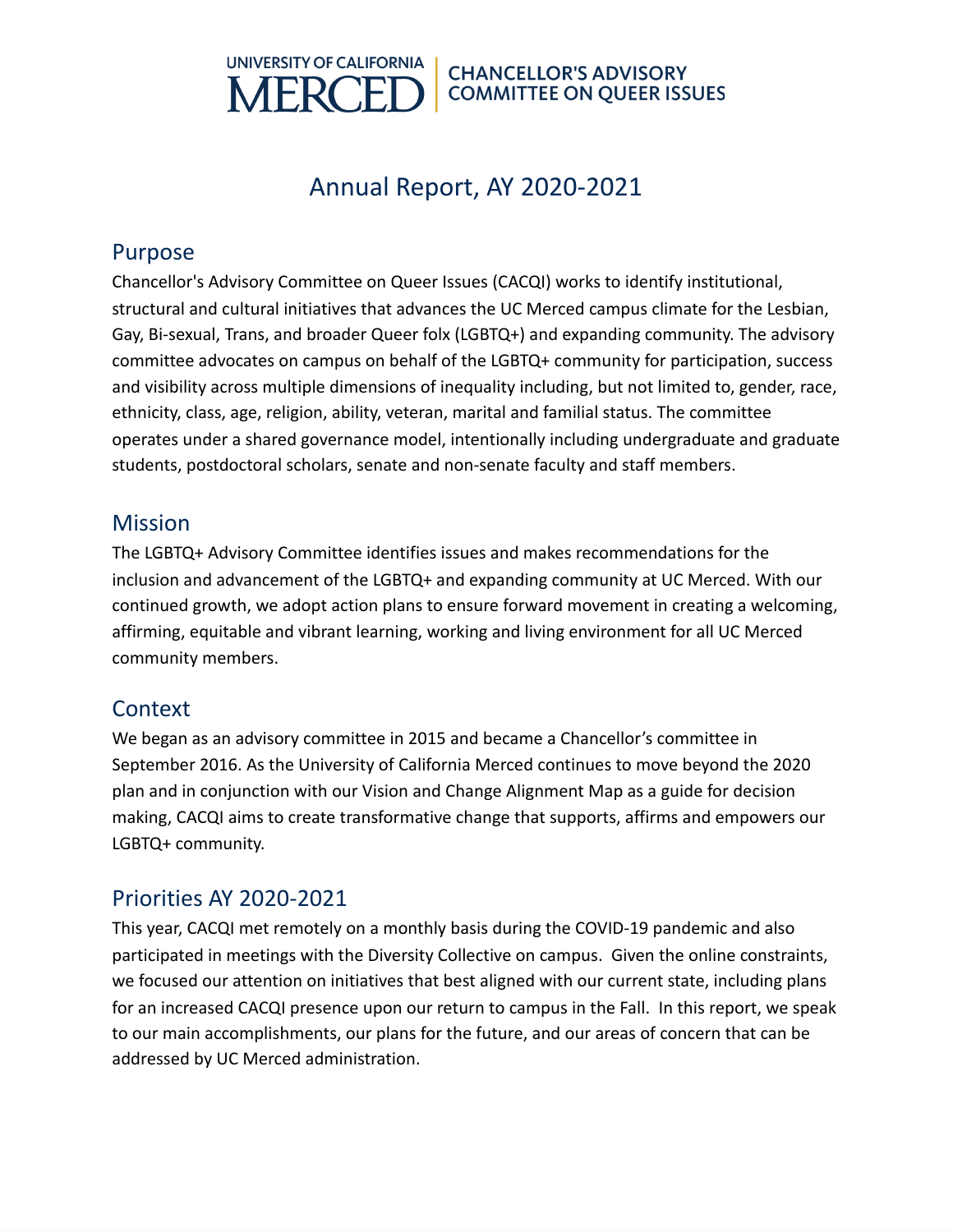

# Annual Report, AY 2020-2021

### Purpose

Chancellor's Advisory Committee on Queer Issues (CACQI) works to identify institutional, structural and cultural initiatives that advances the UC Merced campus climate for the Lesbian, Gay, Bi-sexual, Trans, and broader Queer folx (LGBTQ+) and expanding community. The advisory committee advocates on campus on behalf of the LGBTQ+ community for participation, success and visibility across multiple dimensions of inequality including, but not limited to, gender, race, ethnicity, class, age, religion, ability, veteran, marital and familial status. The committee operates under a shared governance model, intentionally including undergraduate and graduate students, postdoctoral scholars, senate and non-senate faculty and staff members.

## **Mission**

The LGBTQ+ Advisory Committee identifies issues and makes recommendations for the inclusion and advancement of the LGBTQ+ and expanding community at UC Merced. With our continued growth, we adopt action plans to ensure forward movement in creating a welcoming, affirming, equitable and vibrant learning, working and living environment for all UC Merced community members.

# **Context**

We began as an advisory committee in 2015 and became a Chancellor's committee in September 2016. As the University of California Merced continues to move beyond the 2020 plan and in conjunction with our Vision and Change Alignment Map as a guide for decision making, CACQI aims to create transformative change that supports, affirms and empowers our LGBTQ+ community.

# Priorities AY 2020-2021

This year, CACQI met remotely on a monthly basis during the COVID-19 pandemic and also participated in meetings with the Diversity Collective on campus. Given the online constraints, we focused our attention on initiatives that best aligned with our current state, including plans for an increased CACQI presence upon our return to campus in the Fall. In this report, we speak to our main accomplishments, our plans for the future, and our areas of concern that can be addressed by UC Merced administration.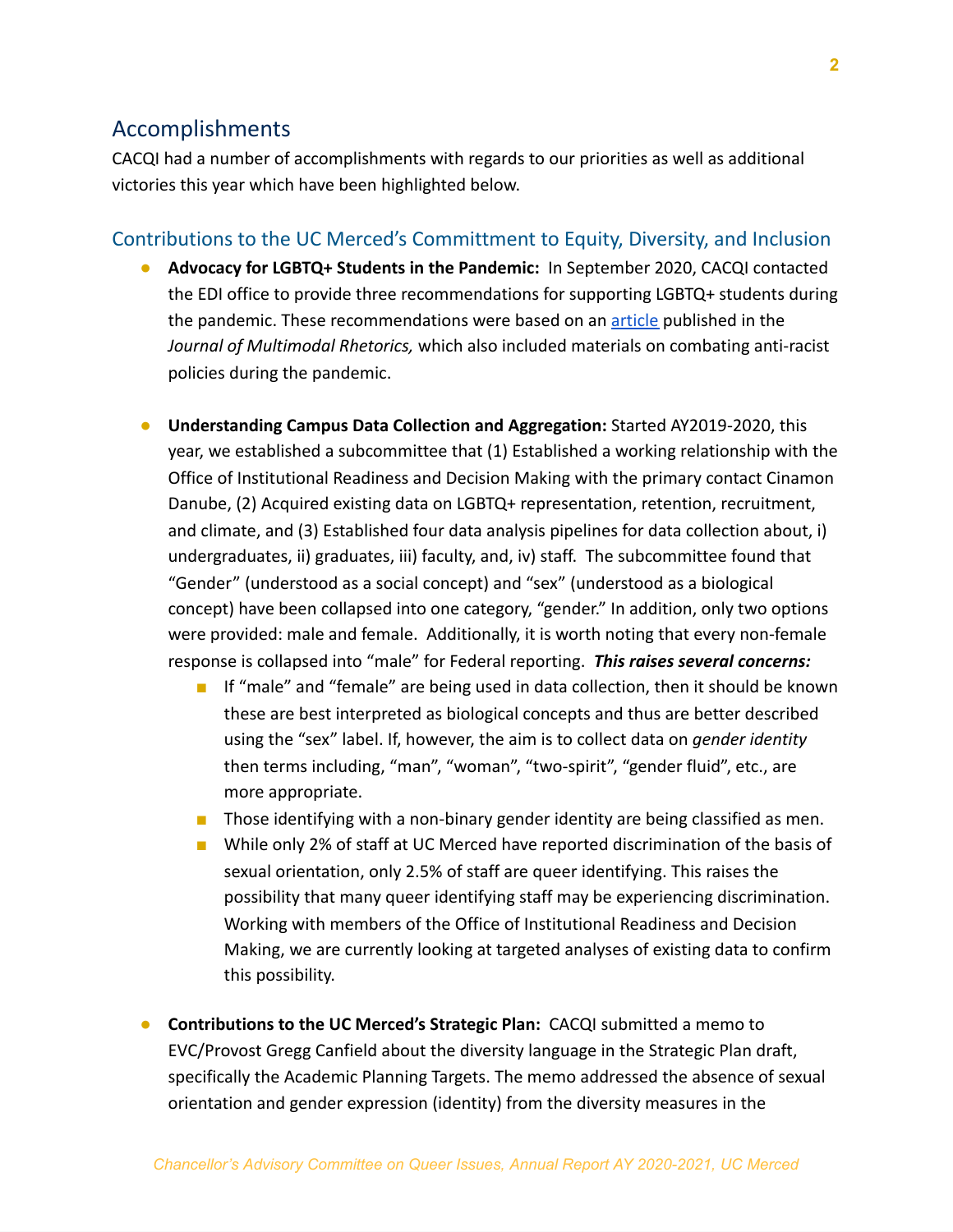### Accomplishments

CACQI had a number of accomplishments with regards to our priorities as well as additional victories this year which have been highlighted below.

#### Contributions to the UC Merced's Committment to Equity, Diversity, and Inclusion

- **Advocacy for LGBTQ+ Students in the Pandemic:** In September 2020, CACQI contacted the EDI office to provide three recommendations for supporting LGBTQ+ students during the pandemic. These recommendations were based on an [article](http://journalofmultimodalrhetorics.com/combating-white-supremacy-in-a-pandemic-antiracist--anticapitalist--and-socially-just-policy-recommendations-in-response-to-covid-19) published in the *Journal of Multimodal Rhetorics,* which also included materials on combating anti-racist policies during the pandemic.
- **Understanding Campus Data Collection and Aggregation:** Started AY2019-2020, this year, we established a subcommittee that (1) Established a working relationship with the Office of Institutional Readiness and Decision Making with the primary contact Cinamon Danube, (2) Acquired existing data on LGBTQ+ representation, retention, recruitment, and climate, and (3) Established four data analysis pipelines for data collection about, i) undergraduates, ii) graduates, iii) faculty, and, iv) staff. The subcommittee found that "Gender" (understood as a social concept) and "sex" (understood as a biological concept) have been collapsed into one category, "gender." In addition, only two options were provided: male and female. Additionally, it is worth noting that every non-female response is collapsed into "male" for Federal reporting. *This raises several concerns:*
	- If "male" and "female" are being used in data collection, then it should be known these are best interpreted as biological concepts and thus are better described using the "sex" label. If, however, the aim is to collect data on *gender identity* then terms including, "man", "woman", "two-spirit", "gender fluid", etc., are more appropriate.
	- Those identifying with a non-binary gender identity are being classified as men.
	- While only 2% of staff at UC Merced have reported discrimination of the basis of sexual orientation, only 2.5% of staff are queer identifying. This raises the possibility that many queer identifying staff may be experiencing discrimination. Working with members of the Office of Institutional Readiness and Decision Making, we are currently looking at targeted analyses of existing data to confirm this possibility.
- **Contributions to the UC Merced's Strategic Plan:** CACQI submitted a memo to EVC/Provost Gregg Canfield about the diversity language in the Strategic Plan draft, specifically the Academic Planning Targets. The memo addressed the absence of sexual orientation and gender expression (identity) from the diversity measures in the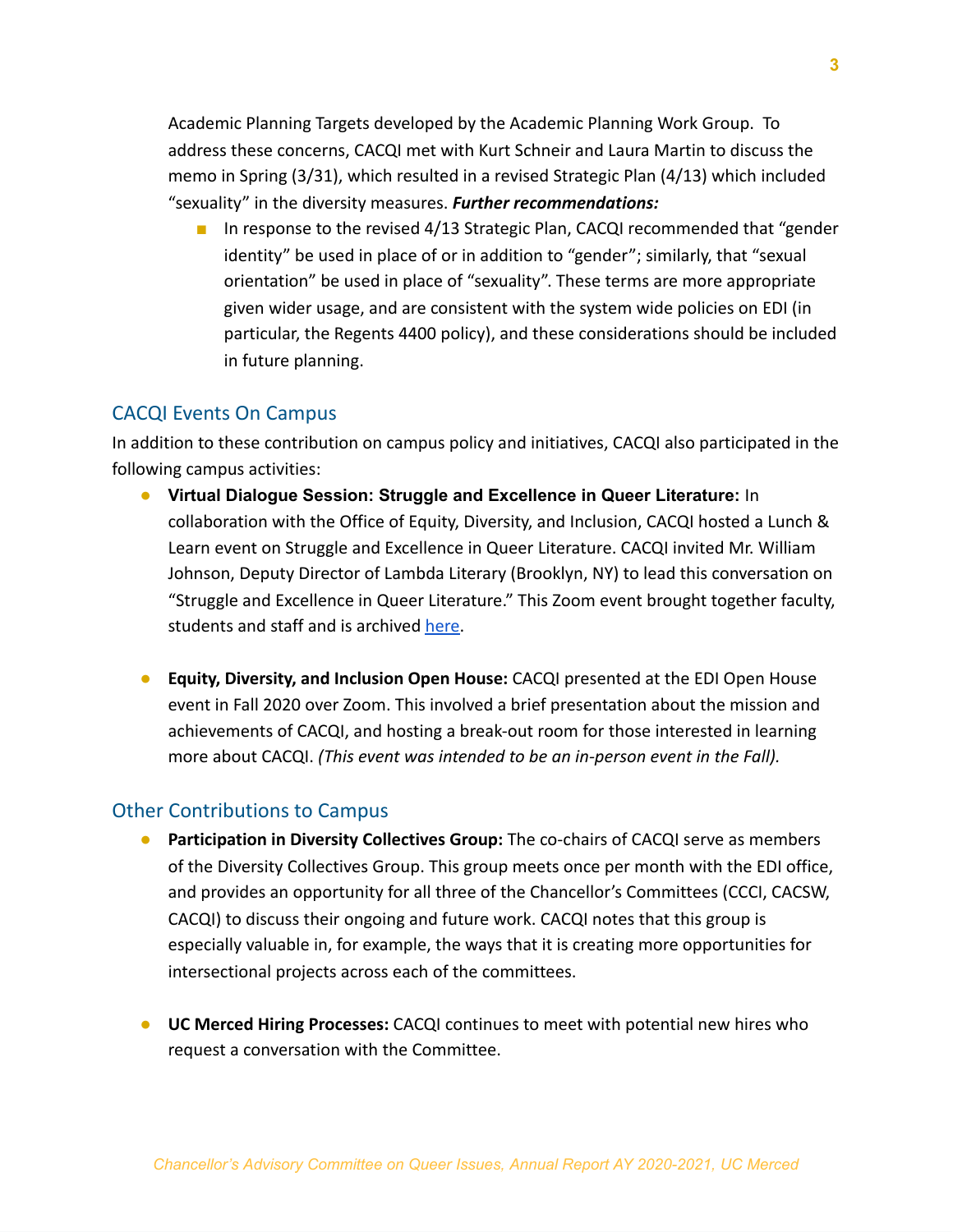Academic Planning Targets developed by the Academic Planning Work Group. To address these concerns, CACQI met with Kurt Schneir and Laura Martin to discuss the memo in Spring (3/31), which resulted in a revised Strategic Plan (4/13) which included "sexuality" in the diversity measures. *Further recommendations:*

■ In response to the revised 4/13 Strategic Plan, CACQI recommended that "gender identity" be used in place of or in addition to "gender"; similarly, that "sexual orientation" be used in place of "sexuality". These terms are more appropriate given wider usage, and are consistent with the system wide policies on EDI (in particular, the Regents 4400 policy), and these considerations should be included in future planning.

#### CACQI Events On Campus

In addition to these contribution on campus policy and initiatives, CACQI also participated in the following campus activities:

- **Virtual Dialogue Session: Struggle and Excellence in Queer Literature:** In collaboration with the Office of Equity, Diversity, and Inclusion, CACQI hosted a Lunch & Learn event on Struggle and Excellence in Queer Literature. CACQI invited Mr. William Johnson, Deputy Director of Lambda Literary (Brooklyn, NY) to lead this conversation on "Struggle and Excellence in Queer Literature." This Zoom event brought together faculty, students and staff and is archived [here.](https://diversity.ucmerced.edu/events/virtual-dialogue-series-lunch-and-learns/virtual-dialogue-series-recorded-sessions#:~:text=Struggle%20and%20Excellence%20in%20Queer%20Literature)
- **Equity, Diversity, and Inclusion Open House:** CACQI presented at the EDI Open House event in Fall 2020 over Zoom. This involved a brief presentation about the mission and achievements of CACQI, and hosting a break-out room for those interested in learning more about CACQI. *(This event was intended to be an in-person event in the Fall).*

#### Other Contributions to Campus

- **Participation in Diversity Collectives Group:** The co-chairs of CACQI serve as members of the Diversity Collectives Group. This group meets once per month with the EDI office, and provides an opportunity for all three of the Chancellor's Committees (CCCI, CACSW, CACQI) to discuss their ongoing and future work. CACQI notes that this group is especially valuable in, for example, the ways that it is creating more opportunities for intersectional projects across each of the committees.
- **UC Merced Hiring Processes:** CACQI continues to meet with potential new hires who request a conversation with the Committee.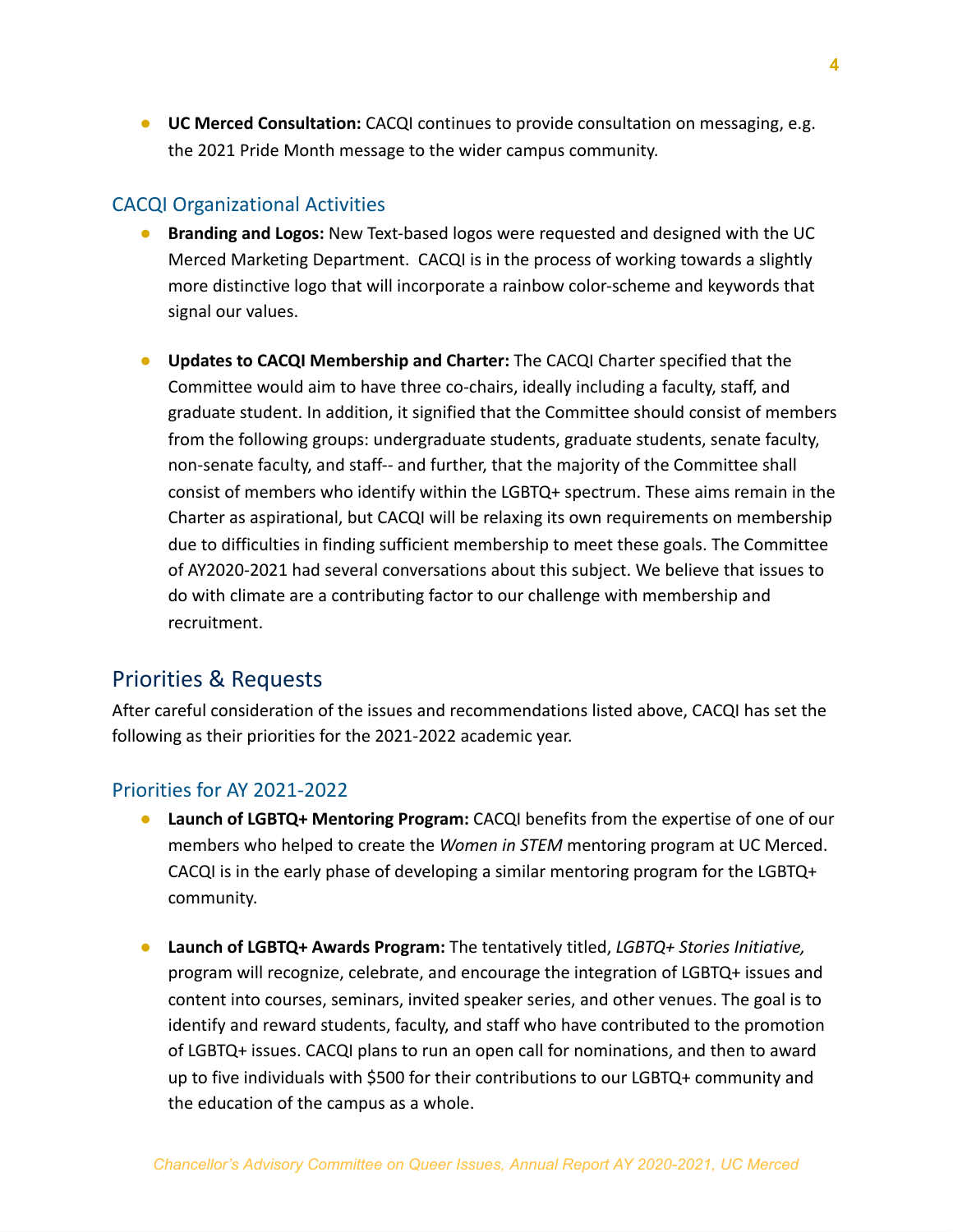● **UC Merced Consultation:** CACQI continues to provide consultation on messaging, e.g. the 2021 Pride Month message to the wider campus community.

#### CACQI Organizational Activities

- **Branding and Logos:** New Text-based logos were requested and designed with the UC Merced Marketing Department. CACQI is in the process of working towards a slightly more distinctive logo that will incorporate a rainbow color-scheme and keywords that signal our values.
- **Updates to CACQI Membership and Charter:** The CACQI Charter specified that the Committee would aim to have three co-chairs, ideally including a faculty, staff, and graduate student. In addition, it signified that the Committee should consist of members from the following groups: undergraduate students, graduate students, senate faculty, non-senate faculty, and staff-- and further, that the majority of the Committee shall consist of members who identify within the LGBTQ+ spectrum. These aims remain in the Charter as aspirational, but CACQI will be relaxing its own requirements on membership due to difficulties in finding sufficient membership to meet these goals. The Committee of AY2020-2021 had several conversations about this subject. We believe that issues to do with climate are a contributing factor to our challenge with membership and recruitment.

## Priorities & Requests

After careful consideration of the issues and recommendations listed above, CACQI has set the following as their priorities for the 2021-2022 academic year.

#### Priorities for AY 2021-2022

- **Launch of LGBTQ+ Mentoring Program:** CACQI benefits from the expertise of one of our members who helped to create the *Women in STEM* mentoring program at UC Merced. CACQI is in the early phase of developing a similar mentoring program for the LGBTQ+ community.
- **Launch of LGBTQ+ Awards Program:** The tentatively titled, *LGBTQ+ Stories Initiative,* program will recognize, celebrate, and encourage the integration of LGBTQ+ issues and content into courses, seminars, invited speaker series, and other venues. The goal is to identify and reward students, faculty, and staff who have contributed to the promotion of LGBTQ+ issues. CACQI plans to run an open call for nominations, and then to award up to five individuals with \$500 for their contributions to our LGBTQ+ community and the education of the campus as a whole.